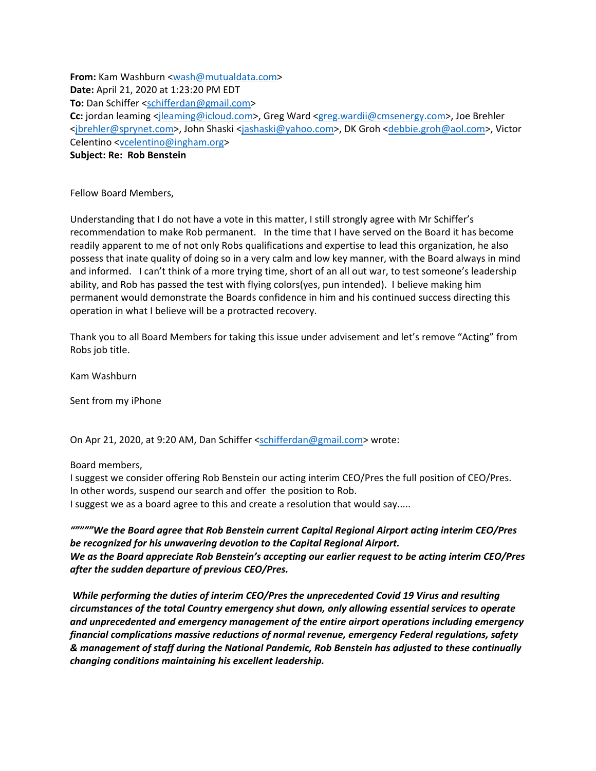**From:** Kam Washburn <wash@mutualdata.com> **Date:** April 21, 2020 at 1:23:20 PM EDT **To:** Dan Schiffer <schifferdan@gmail.com> **Cc:** jordan leaming <jleaming@icloud.com>, Greg Ward <greg.wardii@cmsenergy.com>, Joe Brehler <jbrehler@sprynet.com>, John Shaski <jashaski@yahoo.com>, DK Groh <debbie.groh@aol.com>, Victor Celentino <vcelentino@ingham.org> **Subject: Re: Rob Benstein**

Fellow Board Members,

Understanding that I do not have a vote in this matter, I still strongly agree with Mr Schiffer's recommendation to make Rob permanent. In the time that I have served on the Board it has become readily apparent to me of not only Robs qualifications and expertise to lead this organization, he also possess that inate quality of doing so in a very calm and low key manner, with the Board always in mind and informed. I can't think of a more trying time, short of an all out war, to test someone's leadership ability, and Rob has passed the test with flying colors(yes, pun intended). I believe making him permanent would demonstrate the Boards confidence in him and his continued success directing this operation in what I believe will be a protracted recovery.

Thank you to all Board Members for taking this issue under advisement and let's remove "Acting" from Robs job title.

Kam Washburn

Sent from my iPhone

On Apr 21, 2020, at 9:20 AM, Dan Schiffer <schifferdan@gmail.com> wrote:

Board members,

I suggest we consider offering Rob Benstein our acting interim CEO/Pres the full position of CEO/Pres. In other words, suspend our search and offer the position to Rob. I suggest we as a board agree to this and create a resolution that would say.....

*"""""We the Board agree that Rob Benstein current Capital Regional Airport acting interim CEO/Pres be recognized for his unwavering devotion to the Capital Regional Airport. We as the Board appreciate Rob Benstein's accepting our earlier request to be acting interim CEO/Pres after the sudden departure of previous CEO/Pres.*

 *While performing the duties of interim CEO/Pres the unprecedented Covid 19 Virus and resulting circumstances of the total Country emergency shut down, only allowing essential services to operate and unprecedented and emergency management of the entire airport operations including emergency financial complications massive reductions of normal revenue, emergency Federal regulations, safety & management of staff during the National Pandemic, Rob Benstein has adjusted to these continually changing conditions maintaining his excellent leadership.*